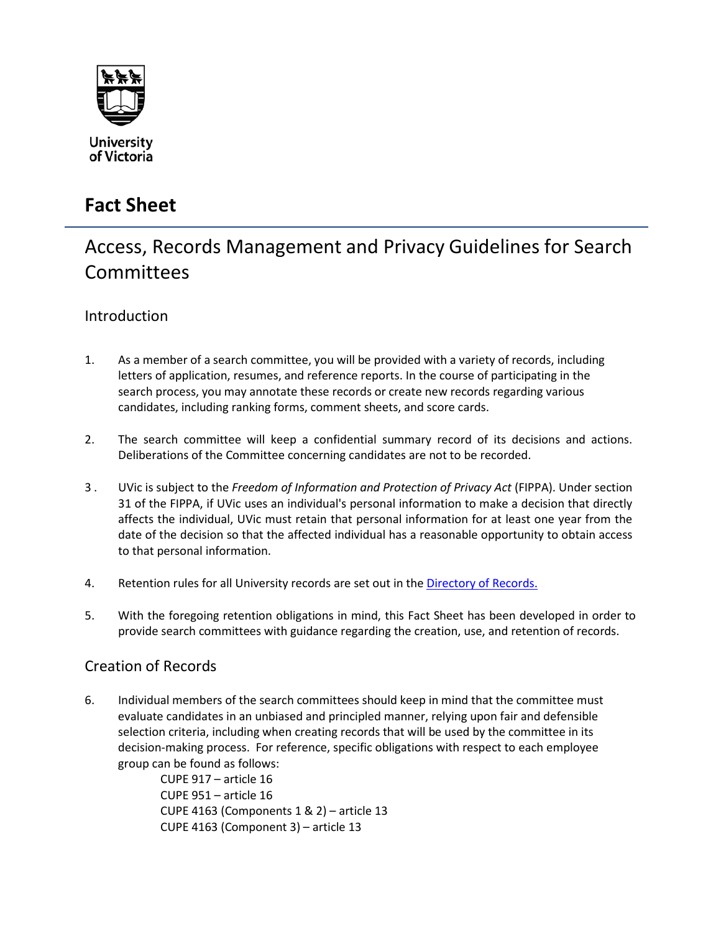

## **Fact Sheet**

# Access, Records Management and Privacy Guidelines for Search **Committees**

### Introduction

- 1. As a member of a search committee, you will be provided with a variety of records, including letters of application, resumes, and reference reports. In the course of participating in the search process, you may annotate these records or create new records regarding various candidates, including ranking forms, comment sheets, and score cards.
- 2. The search committee will keep a confidential summary record of its decisions and actions. Deliberations of the Committee concerning candidates are not to be recorded.
- 3 . UVic is subject to the *Freedom of Information and Protection of Privacy Act* (FIPPA). Under section 31 of the FIPPA, if UVic uses an individual's personal information to make a decision that directly affects the individual, UVic must retain that personal information for at least one year from the date of the decision so that the affected individual has a reasonable opportunity to obtain access to that personal information.
- 4. Retention rules for all University records are set out in the [Directory of Records.](http://www.uvic.ca/dor)
- 5. With the foregoing retention obligations in mind, this Fact Sheet has been developed in order to provide search committees with guidance regarding the creation, use, and retention of records.

### Creation of Records

6. Individual members of the search committees should keep in mind that the committee must evaluate candidates in an unbiased and principled manner, relying upon fair and defensible selection criteria, including when creating records that will be used by the committee in its decision-making process. For reference, specific obligations with respect to each employee group can be found as follows:

CUPE 917 – article 16 CUPE 951 – article 16 CUPE 4163 (Components 1 & 2) – article 13 CUPE 4163 (Component 3) – article 13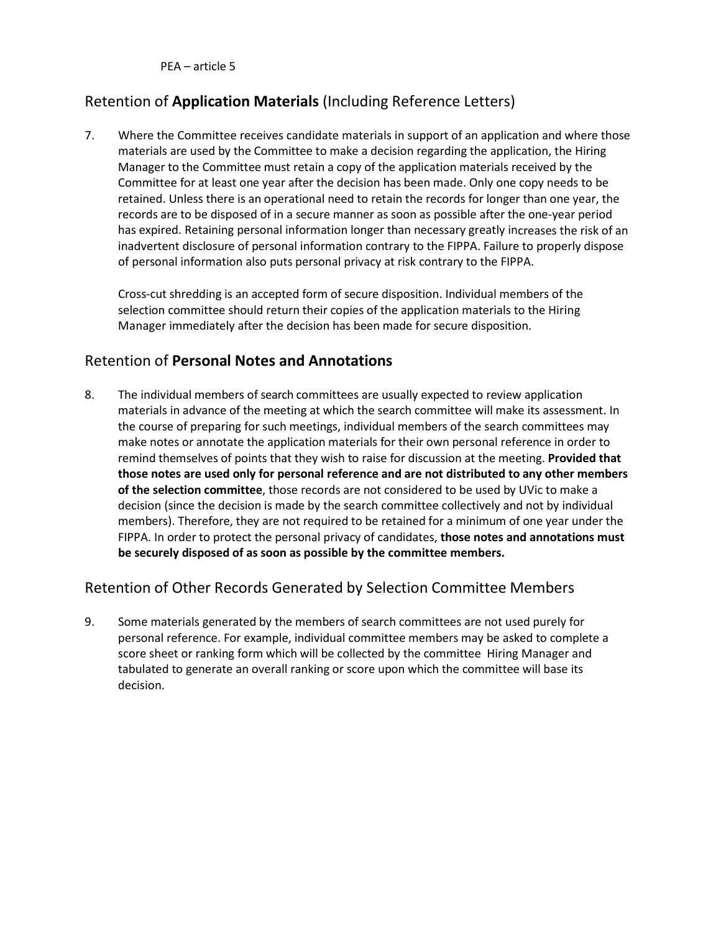PEA – article 5

## Retention of **Application Materials** (Including Reference Letters)

7. Where the Committee receives candidate materials in support of an application and where those materials are used by the Committee to make a decision regarding the application, the Hiring Manager to the Committee must retain a copy of the application materials received by the Committee for at least one year after the decision has been made. Only one copy needs to be retained. Unless there is an operational need to retain the records for longer than one year, the records are to be disposed of in a secure manner as soon as possible after the one-year period has expired. Retaining personal information longer than necessary greatly increases the risk of an inadvertent disclosure of personal information contrary to the FIPPA. Failure to properly dispose of personal information also puts personal privacy at risk contrary to the FIPPA.

Cross-cut shredding is an accepted form of secure disposition. Individual members of the selection committee should return their copies of the application materials to the Hiring Manager immediately after the decision has been made for secure disposition.

#### Retention of **Personal Notes and Annotations**

8. The individual members of search committees are usually expected to review application materials in advance of the meeting at which the search committee will make its assessment. In the course of preparing for such meetings, individual members of the search committees may make notes or annotate the application materials for their own personal reference in order to remind themselves of points that they wish to raise for discussion at the meeting. **Provided that those notes are used only for personal reference and are not distributed to any other members of the selection committee**, those records are not considered to be used by UVic to make a decision (since the decision is made by the search committee collectively and not by individual members). Therefore, they are not required to be retained for a minimum of one year under the FIPPA. In order to protect the personal privacy of candidates, **those notes and annotations must be securely disposed of as soon as possible by the committee members.**

### Retention of Other Records Generated by Selection Committee Members

9. Some materials generated by the members of search committees are not used purely for personal reference. For example, individual committee members may be asked to complete a score sheet or ranking form which will be collected by the committee Hiring Manager and tabulated to generate an overall ranking or score upon which the committee will base its decision.